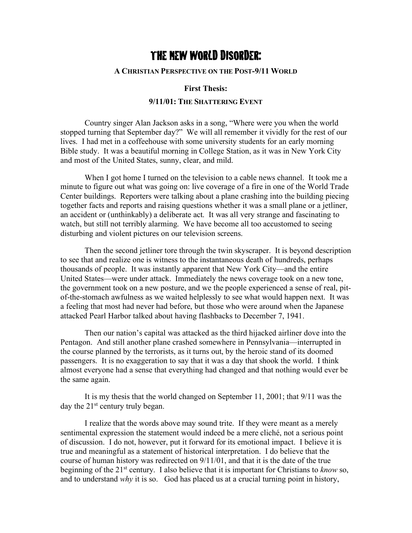# THE NEW WORLD DISORDER:

### **A CHRISTIAN PERSPECTIVE ON THE POST-9/11 WORLD**

#### **First Thesis:**

# **9/11/01: THE SHATTERING EVENT**

Country singer Alan Jackson asks in a song, "Where were you when the world stopped turning that September day?" We will all remember it vividly for the rest of our lives. I had met in a coffeehouse with some university students for an early morning Bible study. It was a beautiful morning in College Station, as it was in New York City and most of the United States, sunny, clear, and mild.

When I got home I turned on the television to a cable news channel. It took me a minute to figure out what was going on: live coverage of a fire in one of the World Trade Center buildings. Reporters were talking about a plane crashing into the building piecing together facts and reports and raising questions whether it was a small plane or a jetliner, an accident or (unthinkably) a deliberate act. It was all very strange and fascinating to watch, but still not terribly alarming. We have become all too accustomed to seeing disturbing and violent pictures on our television screens.

Then the second jetliner tore through the twin skyscraper. It is beyond description to see that and realize one is witness to the instantaneous death of hundreds, perhaps thousands of people. It was instantly apparent that New York City—and the entire United States—were under attack. Immediately the news coverage took on a new tone, the government took on a new posture, and we the people experienced a sense of real, pitof-the-stomach awfulness as we waited helplessly to see what would happen next. It was a feeling that most had never had before, but those who were around when the Japanese attacked Pearl Harbor talked about having flashbacks to December 7, 1941.

Then our nation's capital was attacked as the third hijacked airliner dove into the Pentagon. And still another plane crashed somewhere in Pennsylvania—interrupted in the course planned by the terrorists, as it turns out, by the heroic stand of its doomed passengers. It is no exaggeration to say that it was a day that shook the world. I think almost everyone had a sense that everything had changed and that nothing would ever be the same again.

It is my thesis that the world changed on September 11, 2001; that 9/11 was the day the 21<sup>st</sup> century truly began.

I realize that the words above may sound trite. If they were meant as a merely sentimental expression the statement would indeed be a mere cliché, not a serious point of discussion. I do not, however, put it forward for its emotional impact. I believe it is true and meaningful as a statement of historical interpretation. I do believe that the course of human history was redirected on 9/11/01, and that it is the date of the true beginning of the 21st century. I also believe that it is important for Christians to *know* so, and to understand *why* it is so. God has placed us at a crucial turning point in history,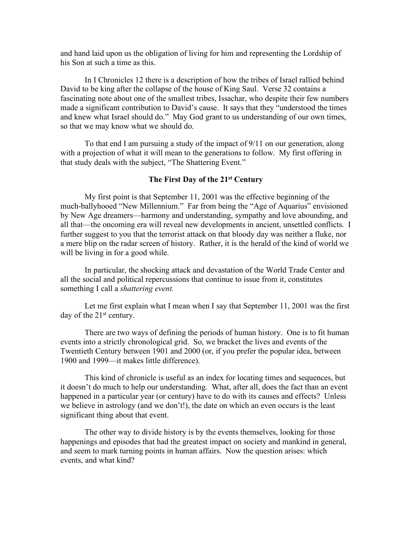and hand laid upon us the obligation of living for him and representing the Lordship of his Son at such a time as this.

In I Chronicles 12 there is a description of how the tribes of Israel rallied behind David to be king after the collapse of the house of King Saul. Verse 32 contains a fascinating note about one of the smallest tribes, Issachar, who despite their few numbers made a significant contribution to David's cause. It says that they "understood the times and knew what Israel should do." May God grant to us understanding of our own times, so that we may know what we should do.

To that end I am pursuing a study of the impact of 9/11 on our generation, along with a projection of what it will mean to the generations to follow. My first offering in that study deals with the subject, "The Shattering Event."

### **The First Day of the 21st Century**

My first point is that September 11, 2001 was the effective beginning of the much-ballyhooed "New Millennium." Far from being the "Age of Aquarius" envisioned by New Age dreamers—harmony and understanding, sympathy and love abounding, and all that—the oncoming era will reveal new developments in ancient, unsettled conflicts. I further suggest to you that the terrorist attack on that bloody day was neither a fluke, nor a mere blip on the radar screen of history. Rather, it is the herald of the kind of world we will be living in for a good while.

In particular, the shocking attack and devastation of the World Trade Center and all the social and political repercussions that continue to issue from it, constitutes something I call a *shattering event.*

Let me first explain what I mean when I say that September 11, 2001 was the first day of the  $21<sup>st</sup>$  century.

There are two ways of defining the periods of human history. One is to fit human events into a strictly chronological grid. So, we bracket the lives and events of the Twentieth Century between 1901 and 2000 (or, if you prefer the popular idea, between 1900 and 1999—it makes little difference).

This kind of chronicle is useful as an index for locating times and sequences, but it doesn't do much to help our understanding. What, after all, does the fact than an event happened in a particular year (or century) have to do with its causes and effects? Unless we believe in astrology (and we don't!), the date on which an even occurs is the least significant thing about that event.

The other way to divide history is by the events themselves, looking for those happenings and episodes that had the greatest impact on society and mankind in general, and seem to mark turning points in human affairs. Now the question arises: which events, and what kind?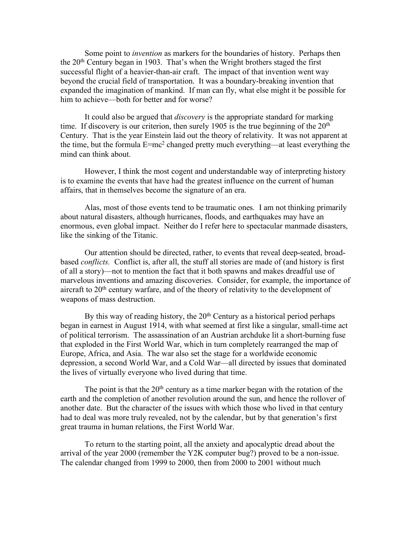Some point to *invention* as markers for the boundaries of history. Perhaps then the 20th Century began in 1903. That's when the Wright brothers staged the first successful flight of a heavier-than-air craft. The impact of that invention went way beyond the crucial field of transportation. It was a boundary-breaking invention that expanded the imagination of mankind. If man can fly, what else might it be possible for him to achieve—both for better and for worse?

It could also be argued that *discovery* is the appropriate standard for marking time. If discovery is our criterion, then surely 1905 is the true beginning of the  $20<sup>th</sup>$ Century. That is the year Einstein laid out the theory of relativity. It was not apparent at the time, but the formula E=mc2 changed pretty much everything—at least everything the mind can think about.

However, I think the most cogent and understandable way of interpreting history is to examine the events that have had the greatest influence on the current of human affairs, that in themselves become the signature of an era.

Alas, most of those events tend to be traumatic ones. I am not thinking primarily about natural disasters, although hurricanes, floods, and earthquakes may have an enormous, even global impact. Neither do I refer here to spectacular manmade disasters, like the sinking of the Titanic.

Our attention should be directed, rather, to events that reveal deep-seated, broadbased *conflicts.* Conflict is, after all, the stuff all stories are made of (and history is first of all a story)—not to mention the fact that it both spawns and makes dreadful use of marvelous inventions and amazing discoveries. Consider, for example, the importance of aircraft to  $20<sup>th</sup>$  century warfare, and of the theory of relativity to the development of weapons of mass destruction.

By this way of reading history, the 20<sup>th</sup> Century as a historical period perhaps began in earnest in August 1914, with what seemed at first like a singular, small-time act of political terrorism. The assassination of an Austrian archduke lit a short-burning fuse that exploded in the First World War, which in turn completely rearranged the map of Europe, Africa, and Asia. The war also set the stage for a worldwide economic depression, a second World War, and a Cold War—all directed by issues that dominated the lives of virtually everyone who lived during that time.

The point is that the  $20<sup>th</sup>$  century as a time marker began with the rotation of the earth and the completion of another revolution around the sun, and hence the rollover of another date. But the character of the issues with which those who lived in that century had to deal was more truly revealed, not by the calendar, but by that generation's first great trauma in human relations, the First World War.

To return to the starting point, all the anxiety and apocalyptic dread about the arrival of the year 2000 (remember the Y2K computer bug?) proved to be a non-issue. The calendar changed from 1999 to 2000, then from 2000 to 2001 without much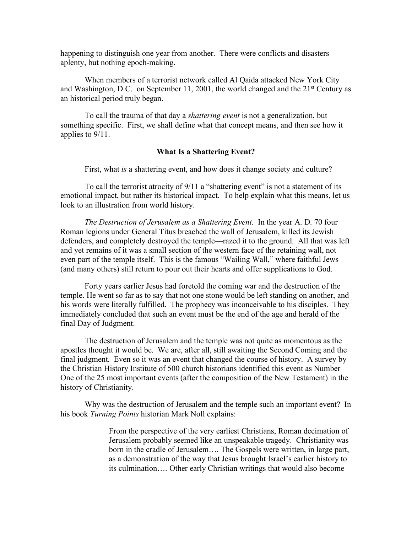happening to distinguish one year from another. There were conflicts and disasters aplenty, but nothing epoch-making.

When members of a terrorist network called Al Qaida attacked New York City and Washington, D.C. on September 11, 2001, the world changed and the 21st Century as an historical period truly began.

To call the trauma of that day a *shattering event* is not a generalization, but something specific. First, we shall define what that concept means, and then see how it applies to 9/11.

## **What Is a Shattering Event?**

First, what *is* a shattering event, and how does it change society and culture?

To call the terrorist atrocity of 9/11 a "shattering event" is not a statement of its emotional impact, but rather its historical impact. To help explain what this means, let us look to an illustration from world history.

*The Destruction of Jerusalem as a Shattering Event.* In the year A. D. 70 four Roman legions under General Titus breached the wall of Jerusalem, killed its Jewish defenders, and completely destroyed the temple—razed it to the ground. All that was left and yet remains of it was a small section of the western face of the retaining wall, not even part of the temple itself. This is the famous "Wailing Wall," where faithful Jews (and many others) still return to pour out their hearts and offer supplications to God.

Forty years earlier Jesus had foretold the coming war and the destruction of the temple. He went so far as to say that not one stone would be left standing on another, and his words were literally fulfilled. The prophecy was inconceivable to his disciples. They immediately concluded that such an event must be the end of the age and herald of the final Day of Judgment.

The destruction of Jerusalem and the temple was not quite as momentous as the apostles thought it would be. We are, after all, still awaiting the Second Coming and the final judgment. Even so it was an event that changed the course of history. A survey by the Christian History Institute of 500 church historians identified this event as Number One of the 25 most important events (after the composition of the New Testament) in the history of Christianity.

Why was the destruction of Jerusalem and the temple such an important event? In his book *Turning Points* historian Mark Noll explains:

> From the perspective of the very earliest Christians, Roman decimation of Jerusalem probably seemed like an unspeakable tragedy. Christianity was born in the cradle of Jerusalem…. The Gospels were written, in large part, as a demonstration of the way that Jesus brought Israel's earlier history to its culmination…. Other early Christian writings that would also become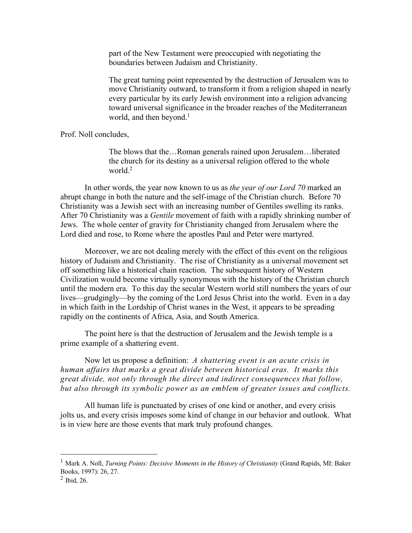part of the New Testament were preoccupied with negotiating the boundaries between Judaism and Christianity.

The great turning point represented by the destruction of Jerusalem was to move Christianity outward, to transform it from a religion shaped in nearly every particular by its early Jewish environment into a religion advancing toward universal significance in the broader reaches of the Mediterranean world, and then beyond. $<sup>1</sup>$ </sup>

## Prof. Noll concludes,

The blows that the…Roman generals rained upon Jerusalem…liberated the church for its destiny as a universal religion offered to the whole world $^2$ 

In other words, the year now known to us as *the year of our Lord 70* marked an abrupt change in both the nature and the self-image of the Christian church. Before 70 Christianity was a Jewish sect with an increasing number of Gentiles swelling its ranks. After 70 Christianity was a *Gentile* movement of faith with a rapidly shrinking number of Jews. The whole center of gravity for Christianity changed from Jerusalem where the Lord died and rose, to Rome where the apostles Paul and Peter were martyred.

Moreover, we are not dealing merely with the effect of this event on the religious history of Judaism and Christianity. The rise of Christianity as a universal movement set off something like a historical chain reaction. The subsequent history of Western Civilization would become virtually synonymous with the history of the Christian church until the modern era. To this day the secular Western world still numbers the years of our lives—grudgingly—by the coming of the Lord Jesus Christ into the world. Even in a day in which faith in the Lordship of Christ wanes in the West, it appears to be spreading rapidly on the continents of Africa, Asia, and South America.

The point here is that the destruction of Jerusalem and the Jewish temple is a prime example of a shattering event.

Now let us propose a definition: *A shattering event is an acute crisis in human affairs that marks a great divide between historical eras. It marks this great divide, not only through the direct and indirect consequences that follow, but also through its symbolic power as an emblem of greater issues and conflicts.*

All human life is punctuated by crises of one kind or another, and every crisis jolts us, and every crisis imposes some kind of change in our behavior and outlook. What is in view here are those events that mark truly profound changes.

 <sup>1</sup> Mark A. Noll, *Turning Points: Decisive Moments in the History of Christianity* (Grand Rapids, MI: Baker Books, 1997): 26, 27.

 $<sup>2</sup>$  Ibid, 26.</sup>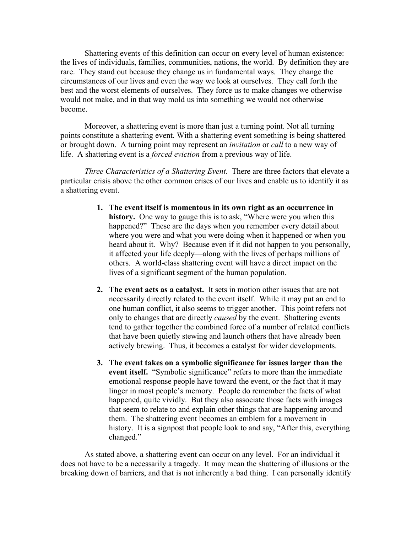Shattering events of this definition can occur on every level of human existence: the lives of individuals, families, communities, nations, the world. By definition they are rare. They stand out because they change us in fundamental ways. They change the circumstances of our lives and even the way we look at ourselves. They call forth the best and the worst elements of ourselves. They force us to make changes we otherwise would not make, and in that way mold us into something we would not otherwise become.

Moreover, a shattering event is more than just a turning point. Not all turning points constitute a shattering event. With a shattering event something is being shattered or brought down. A turning point may represent an *invitation* or *call* to a new way of life. A shattering event is a *forced eviction* from a previous way of life.

*Three Characteristics of a Shattering Event.* There are three factors that elevate a particular crisis above the other common crises of our lives and enable us to identify it as a shattering event.

- **1. The event itself is momentous in its own right as an occurrence in history.** One way to gauge this is to ask, "Where were you when this happened?" These are the days when you remember every detail about where you were and what you were doing when it happened or when you heard about it. Why? Because even if it did not happen to you personally, it affected your life deeply—along with the lives of perhaps millions of others. A world-class shattering event will have a direct impact on the lives of a significant segment of the human population.
- **2. The event acts as a catalyst.** It sets in motion other issues that are not necessarily directly related to the event itself. While it may put an end to one human conflict, it also seems to trigger another. This point refers not only to changes that are directly *caused* by the event. Shattering events tend to gather together the combined force of a number of related conflicts that have been quietly stewing and launch others that have already been actively brewing. Thus, it becomes a catalyst for wider developments.
- **3. The event takes on a symbolic significance for issues larger than the event itself.**"Symbolic significance" refers to more than the immediate emotional response people have toward the event, or the fact that it may linger in most people's memory. People do remember the facts of what happened, quite vividly. But they also associate those facts with images that seem to relate to and explain other things that are happening around them. The shattering event becomes an emblem for a movement in history. It is a signpost that people look to and say, "After this, everything changed."

As stated above, a shattering event can occur on any level. For an individual it does not have to be a necessarily a tragedy. It may mean the shattering of illusions or the breaking down of barriers, and that is not inherently a bad thing. I can personally identify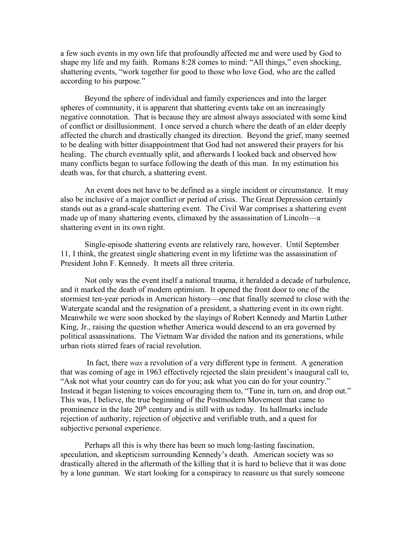a few such events in my own life that profoundly affected me and were used by God to shape my life and my faith. Romans 8:28 comes to mind: "All things," even shocking, shattering events, "work together for good to those who love God, who are the called according to his purpose."

Beyond the sphere of individual and family experiences and into the larger spheres of community, it is apparent that shattering events take on an increasingly negative connotation. That is because they are almost always associated with some kind of conflict or disillusionment. I once served a church where the death of an elder deeply affected the church and drastically changed its direction. Beyond the grief, many seemed to be dealing with bitter disappointment that God had not answered their prayers for his healing. The church eventually split, and afterwards I looked back and observed how many conflicts began to surface following the death of this man. In my estimation his death was, for that church, a shattering event.

An event does not have to be defined as a single incident or circumstance. It may also be inclusive of a major conflict or period of crisis. The Great Depression certainly stands out as a grand-scale shattering event. The Civil War comprises a shattering event made up of many shattering events, climaxed by the assassination of Lincoln—a shattering event in its own right.

Single-episode shattering events are relatively rare, however. Until September 11, I think, the greatest single shattering event in my lifetime was the assassination of President John F. Kennedy. It meets all three criteria.

Not only was the event itself a national trauma, it heralded a decade of turbulence, and it marked the death of modern optimism. It opened the front door to one of the stormiest ten-year periods in American history—one that finally seemed to close with the Watergate scandal and the resignation of a president, a shattering event in its own right. Meanwhile we were soon shocked by the slayings of Robert Kennedy and Martin Luther King, Jr., raising the question whether America would descend to an era governed by political assassinations. The Vietnam War divided the nation and its generations, while urban riots stirred fears of racial revolution.

In fact, there *was* a revolution of a very different type in ferment. A generation that was coming of age in 1963 effectively rejected the slain president's inaugural call to, "Ask not what your country can do for you; ask what you can do for your country." Instead it began listening to voices encouraging them to, "Tune in, turn on, and drop out." This was, I believe, the true beginning of the Postmodern Movement that came to prominence in the late  $20<sup>th</sup>$  century and is still with us today. Its hallmarks include rejection of authority, rejection of objective and verifiable truth, and a quest for subjective personal experience.

Perhaps all this is why there has been so much long-lasting fascination, speculation, and skepticism surrounding Kennedy's death. American society was so drastically altered in the aftermath of the killing that it is hard to believe that it was done by a lone gunman. We start looking for a conspiracy to reassure us that surely someone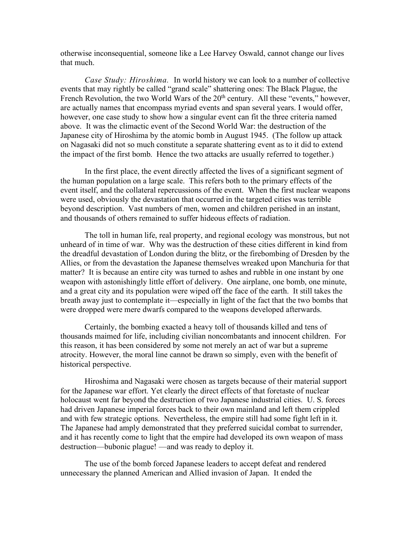otherwise inconsequential, someone like a Lee Harvey Oswald, cannot change our lives that much.

*Case Study: Hiroshima.* In world history we can look to a number of collective events that may rightly be called "grand scale" shattering ones: The Black Plague, the French Revolution, the two World Wars of the  $20<sup>th</sup>$  century. All these "events," however, are actually names that encompass myriad events and span several years. I would offer, however, one case study to show how a singular event can fit the three criteria named above. It was the climactic event of the Second World War: the destruction of the Japanese city of Hiroshima by the atomic bomb in August 1945. (The follow up attack on Nagasaki did not so much constitute a separate shattering event as to it did to extend the impact of the first bomb. Hence the two attacks are usually referred to together.)

In the first place, the event directly affected the lives of a significant segment of the human population on a large scale. This refers both to the primary effects of the event itself, and the collateral repercussions of the event. When the first nuclear weapons were used, obviously the devastation that occurred in the targeted cities was terrible beyond description. Vast numbers of men, women and children perished in an instant, and thousands of others remained to suffer hideous effects of radiation.

The toll in human life, real property, and regional ecology was monstrous, but not unheard of in time of war. Why was the destruction of these cities different in kind from the dreadful devastation of London during the blitz, or the firebombing of Dresden by the Allies, or from the devastation the Japanese themselves wreaked upon Manchuria for that matter? It is because an entire city was turned to ashes and rubble in one instant by one weapon with astonishingly little effort of delivery. One airplane, one bomb, one minute, and a great city and its population were wiped off the face of the earth. It still takes the breath away just to contemplate it—especially in light of the fact that the two bombs that were dropped were mere dwarfs compared to the weapons developed afterwards.

Certainly, the bombing exacted a heavy toll of thousands killed and tens of thousands maimed for life, including civilian noncombatants and innocent children. For this reason, it has been considered by some not merely an act of war but a supreme atrocity. However, the moral line cannot be drawn so simply, even with the benefit of historical perspective.

Hiroshima and Nagasaki were chosen as targets because of their material support for the Japanese war effort. Yet clearly the direct effects of that foretaste of nuclear holocaust went far beyond the destruction of two Japanese industrial cities. U. S. forces had driven Japanese imperial forces back to their own mainland and left them crippled and with few strategic options. Nevertheless, the empire still had some fight left in it. The Japanese had amply demonstrated that they preferred suicidal combat to surrender, and it has recently come to light that the empire had developed its own weapon of mass destruction—bubonic plague! —and was ready to deploy it.

The use of the bomb forced Japanese leaders to accept defeat and rendered unnecessary the planned American and Allied invasion of Japan. It ended the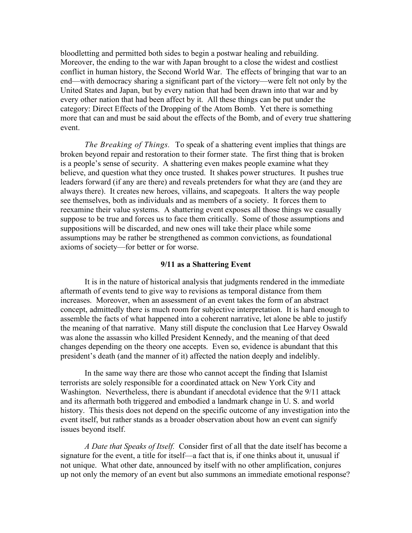bloodletting and permitted both sides to begin a postwar healing and rebuilding. Moreover, the ending to the war with Japan brought to a close the widest and costliest conflict in human history, the Second World War. The effects of bringing that war to an end—with democracy sharing a significant part of the victory—were felt not only by the United States and Japan, but by every nation that had been drawn into that war and by every other nation that had been affect by it. All these things can be put under the category: Direct Effects of the Dropping of the Atom Bomb. Yet there is something more that can and must be said about the effects of the Bomb, and of every true shattering event.

*The Breaking of Things.* To speak of a shattering event implies that things are broken beyond repair and restoration to their former state. The first thing that is broken is a people's sense of security. A shattering even makes people examine what they believe, and question what they once trusted. It shakes power structures. It pushes true leaders forward (if any are there) and reveals pretenders for what they are (and they are always there). It creates new heroes, villains, and scapegoats. It alters the way people see themselves, both as individuals and as members of a society. It forces them to reexamine their value systems. A shattering event exposes all those things we casually suppose to be true and forces us to face them critically. Some of those assumptions and suppositions will be discarded, and new ones will take their place while some assumptions may be rather be strengthened as common convictions, as foundational axioms of society—for better or for worse.

#### **9/11 as a Shattering Event**

It is in the nature of historical analysis that judgments rendered in the immediate aftermath of events tend to give way to revisions as temporal distance from them increases. Moreover, when an assessment of an event takes the form of an abstract concept, admittedly there is much room for subjective interpretation. It is hard enough to assemble the facts of what happened into a coherent narrative, let alone be able to justify the meaning of that narrative. Many still dispute the conclusion that Lee Harvey Oswald was alone the assassin who killed President Kennedy, and the meaning of that deed changes depending on the theory one accepts. Even so, evidence is abundant that this president's death (and the manner of it) affected the nation deeply and indelibly.

In the same way there are those who cannot accept the finding that Islamist terrorists are solely responsible for a coordinated attack on New York City and Washington. Nevertheless, there is abundant if anecdotal evidence that the 9/11 attack and its aftermath both triggered and embodied a landmark change in U. S. and world history. This thesis does not depend on the specific outcome of any investigation into the event itself, but rather stands as a broader observation about how an event can signify issues beyond itself.

*A Date that Speaks of Itself.* Consider first of all that the date itself has become a signature for the event, a title for itself—a fact that is, if one thinks about it, unusual if not unique. What other date, announced by itself with no other amplification, conjures up not only the memory of an event but also summons an immediate emotional response?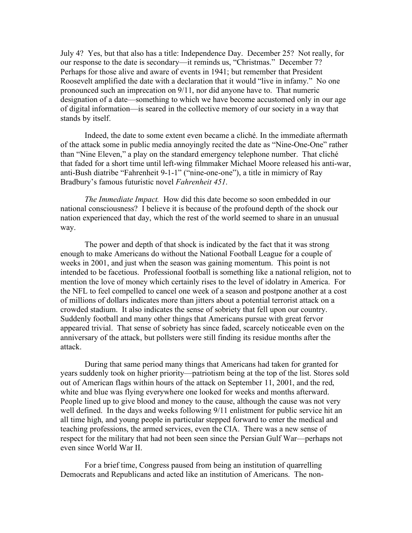July 4? Yes, but that also has a title: Independence Day. December 25? Not really, for our response to the date is secondary—it reminds us, "Christmas." December 7? Perhaps for those alive and aware of events in 1941; but remember that President Roosevelt amplified the date with a declaration that it would "live in infamy." No one pronounced such an imprecation on 9/11, nor did anyone have to. That numeric designation of a date—something to which we have become accustomed only in our age of digital information—is seared in the collective memory of our society in a way that stands by itself.

Indeed, the date to some extent even became a cliché. In the immediate aftermath of the attack some in public media annoyingly recited the date as "Nine-One-One" rather than "Nine Eleven," a play on the standard emergency telephone number. That cliché that faded for a short time until left-wing filmmaker Michael Moore released his anti-war, anti-Bush diatribe "Fahrenheit 9-1-1" ("nine-one-one"), a title in mimicry of Ray Bradbury's famous futuristic novel *Fahrenheit 451*.

*The Immediate Impact.* How did this date become so soon embedded in our national consciousness? I believe it is because of the profound depth of the shock our nation experienced that day, which the rest of the world seemed to share in an unusual way.

The power and depth of that shock is indicated by the fact that it was strong enough to make Americans do without the National Football League for a couple of weeks in 2001, and just when the season was gaining momentum. This point is not intended to be facetious. Professional football is something like a national religion, not to mention the love of money which certainly rises to the level of idolatry in America. For the NFL to feel compelled to cancel one week of a season and postpone another at a cost of millions of dollars indicates more than jitters about a potential terrorist attack on a crowded stadium. It also indicates the sense of sobriety that fell upon our country. Suddenly football and many other things that Americans pursue with great fervor appeared trivial. That sense of sobriety has since faded, scarcely noticeable even on the anniversary of the attack, but pollsters were still finding its residue months after the attack.

During that same period many things that Americans had taken for granted for years suddenly took on higher priority—patriotism being at the top of the list. Stores sold out of American flags within hours of the attack on September 11, 2001, and the red, white and blue was flying everywhere one looked for weeks and months afterward. People lined up to give blood and money to the cause, although the cause was not very well defined. In the days and weeks following 9/11 enlistment for public service hit an all time high, and young people in particular stepped forward to enter the medical and teaching professions, the armed services, even the CIA. There was a new sense of respect for the military that had not been seen since the Persian Gulf War—perhaps not even since World War II.

For a brief time, Congress paused from being an institution of quarrelling Democrats and Republicans and acted like an institution of Americans. The non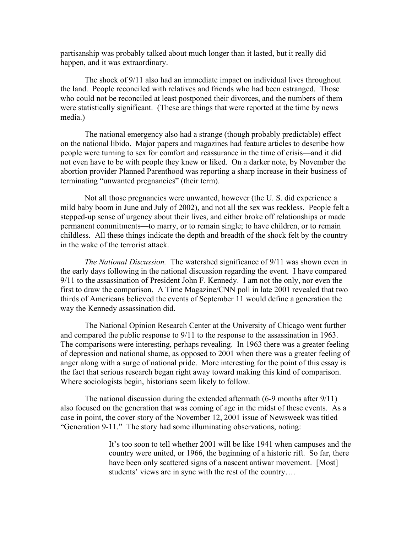partisanship was probably talked about much longer than it lasted, but it really did happen, and it was extraordinary.

The shock of 9/11 also had an immediate impact on individual lives throughout the land. People reconciled with relatives and friends who had been estranged. Those who could not be reconciled at least postponed their divorces, and the numbers of them were statistically significant. (These are things that were reported at the time by news media.)

The national emergency also had a strange (though probably predictable) effect on the national libido. Major papers and magazines had feature articles to describe how people were turning to sex for comfort and reassurance in the time of crisis—and it did not even have to be with people they knew or liked. On a darker note, by November the abortion provider Planned Parenthood was reporting a sharp increase in their business of terminating "unwanted pregnancies" (their term).

Not all those pregnancies were unwanted, however (the U. S. did experience a mild baby boom in June and July of 2002), and not all the sex was reckless. People felt a stepped-up sense of urgency about their lives, and either broke off relationships or made permanent commitments—to marry, or to remain single; to have children, or to remain childless. All these things indicate the depth and breadth of the shock felt by the country in the wake of the terrorist attack.

*The National Discussion.* The watershed significance of 9/11 was shown even in the early days following in the national discussion regarding the event. I have compared 9/11 to the assassination of President John F. Kennedy. I am not the only, nor even the first to draw the comparison. A Time Magazine/CNN poll in late 2001 revealed that two thirds of Americans believed the events of September 11 would define a generation the way the Kennedy assassination did.

The National Opinion Research Center at the University of Chicago went further and compared the public response to 9/11 to the response to the assassination in 1963. The comparisons were interesting, perhaps revealing. In 1963 there was a greater feeling of depression and national shame, as opposed to 2001 when there was a greater feeling of anger along with a surge of national pride. More interesting for the point of this essay is the fact that serious research began right away toward making this kind of comparison. Where sociologists begin, historians seem likely to follow.

The national discussion during the extended aftermath (6-9 months after 9/11) also focused on the generation that was coming of age in the midst of these events. As a case in point, the cover story of the November 12, 2001 issue of Newsweek was titled "Generation 9-11." The story had some illuminating observations, noting:

> It's too soon to tell whether 2001 will be like 1941 when campuses and the country were united, or 1966, the beginning of a historic rift. So far, there have been only scattered signs of a nascent antiwar movement. [Most] students' views are in sync with the rest of the country….